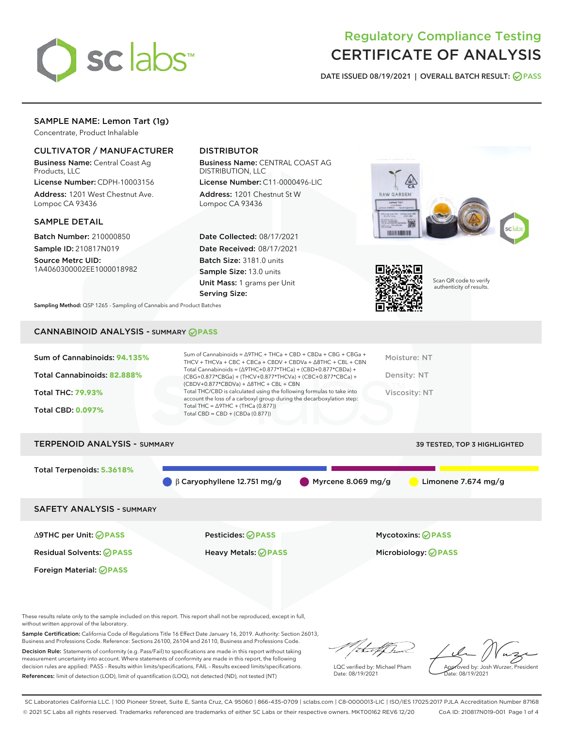

# Regulatory Compliance Testing CERTIFICATE OF ANALYSIS

DATE ISSUED 08/19/2021 | OVERALL BATCH RESULT: @ PASS

# SAMPLE NAME: Lemon Tart (1g)

Concentrate, Product Inhalable

# CULTIVATOR / MANUFACTURER

Business Name: Central Coast Ag Products, LLC

License Number: CDPH-10003156 Address: 1201 West Chestnut Ave. Lompoc CA 93436

#### SAMPLE DETAIL

Batch Number: 210000850 Sample ID: 210817N019

Source Metrc UID: 1A4060300002EE1000018982

# DISTRIBUTOR

Business Name: CENTRAL COAST AG DISTRIBUTION, LLC

License Number: C11-0000496-LIC Address: 1201 Chestnut St W Lompoc CA 93436

Date Collected: 08/17/2021 Date Received: 08/17/2021 Batch Size: 3181.0 units Sample Size: 13.0 units Unit Mass: 1 grams per Unit Serving Size:





Scan QR code to verify authenticity of results.

Sampling Method: QSP 1265 - Sampling of Cannabis and Product Batches

# CANNABINOID ANALYSIS - SUMMARY **PASS**



| I ERPENUID ANALT 313 - SUMMARY   |                                              |                               | <b>39 ILSILD, TOP 3 HIGHLIGHTED</b> |
|----------------------------------|----------------------------------------------|-------------------------------|-------------------------------------|
| Total Terpenoids: 5.3618%        |                                              |                               |                                     |
|                                  | $\bigcirc$ $\beta$ Caryophyllene 12.751 mg/g | $\bigcirc$ Myrcene 8.069 mg/g | Limonene 7.674 mg/g                 |
| <b>SAFETY ANALYSIS - SUMMARY</b> |                                              |                               |                                     |
|                                  |                                              |                               |                                     |

Foreign Material: **PASS**

∆9THC per Unit: **PASS** Pesticides: **PASS** Mycotoxins: **PASS**

Residual Solvents: **PASS** Heavy Metals: **PASS** Microbiology: **PASS**

These results relate only to the sample included on this report. This report shall not be reproduced, except in full, without written approval of the laboratory.

Sample Certification: California Code of Regulations Title 16 Effect Date January 16, 2019. Authority: Section 26013, Business and Professions Code. Reference: Sections 26100, 26104 and 26110, Business and Professions Code.

Decision Rule: Statements of conformity (e.g. Pass/Fail) to specifications are made in this report without taking measurement uncertainty into account. Where statements of conformity are made in this report, the following decision rules are applied: PASS – Results within limits/specifications, FAIL – Results exceed limits/specifications. References: limit of detection (LOD), limit of quantification (LOQ), not detected (ND), not tested (NT)

that for

LQC verified by: Michael Pham Date: 08/19/2021

Approved by: Josh Wurzer, President Date: 08/19/2021

SC Laboratories California LLC. | 100 Pioneer Street, Suite E, Santa Cruz, CA 95060 | 866-435-0709 | sclabs.com | C8-0000013-LIC | ISO/IES 17025:2017 PJLA Accreditation Number 87168 © 2021 SC Labs all rights reserved. Trademarks referenced are trademarks of either SC Labs or their respective owners. MKT00162 REV6 12/20 CoA ID: 210817N019-001 Page 1 of 4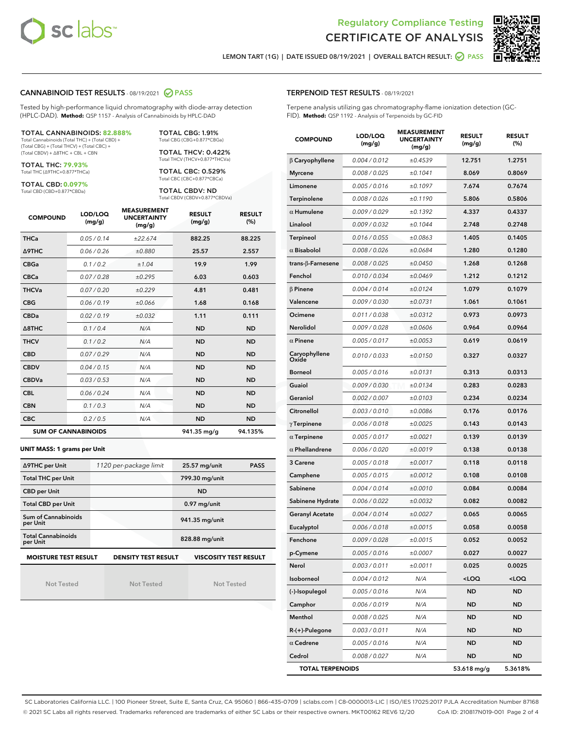



LEMON TART (1G) | DATE ISSUED 08/19/2021 | OVERALL BATCH RESULT: O PASS

#### CANNABINOID TEST RESULTS - 08/19/2021 2 PASS

Tested by high-performance liquid chromatography with diode-array detection (HPLC-DAD). **Method:** QSP 1157 - Analysis of Cannabinoids by HPLC-DAD

#### TOTAL CANNABINOIDS: **82.888%**

Total Cannabinoids (Total THC) + (Total CBD) + (Total CBG) + (Total THCV) + (Total CBC) + (Total CBDV) + ∆8THC + CBL + CBN

TOTAL THC: **79.93%** Total THC (∆9THC+0.877\*THCa)

TOTAL CBD: **0.097%**

Total CBD (CBD+0.877\*CBDa)

TOTAL CBG: 1.91% Total CBG (CBG+0.877\*CBGa)

TOTAL THCV: 0.422% Total THCV (THCV+0.877\*THCVa)

TOTAL CBC: 0.529% Total CBC (CBC+0.877\*CBCa)

TOTAL CBDV: ND Total CBDV (CBDV+0.877\*CBDVa)

| <b>COMPOUND</b> | LOD/LOQ<br>(mg/g)          | <b>MEASUREMENT</b><br><b>UNCERTAINTY</b><br>(mg/g) | <b>RESULT</b><br>(mg/g) | <b>RESULT</b><br>(%) |
|-----------------|----------------------------|----------------------------------------------------|-------------------------|----------------------|
| <b>THCa</b>     | 0.05/0.14                  | ±22.674                                            | 882.25                  | 88.225               |
| <b>A9THC</b>    | 0.06 / 0.26                | ±0.880                                             | 25.57                   | 2.557                |
| <b>CBGa</b>     | 0.1/0.2                    | ±1.04                                              | 19.9                    | 1.99                 |
| <b>CBCa</b>     | 0.07/0.28                  | ±0.295                                             | 6.03                    | 0.603                |
| <b>THCVa</b>    | 0.07/0.20                  | ±0.229                                             | 4.81                    | 0.481                |
| <b>CBG</b>      | 0.06/0.19                  | ±0.066                                             | 1.68                    | 0.168                |
| <b>CBDa</b>     | 0.02/0.19                  | ±0.032                                             | 1.11                    | 0.111                |
| A8THC           | 0.1/0.4                    | N/A                                                | <b>ND</b>               | <b>ND</b>            |
| <b>THCV</b>     | 0.1/0.2                    | N/A                                                | <b>ND</b>               | <b>ND</b>            |
| <b>CBD</b>      | 0.07/0.29                  | N/A                                                | <b>ND</b>               | <b>ND</b>            |
| <b>CBDV</b>     | 0.04 / 0.15                | N/A                                                | <b>ND</b>               | <b>ND</b>            |
| <b>CBDVa</b>    | 0.03/0.53                  | N/A                                                | <b>ND</b>               | <b>ND</b>            |
| <b>CBL</b>      | 0.06 / 0.24                | N/A                                                | <b>ND</b>               | <b>ND</b>            |
| <b>CBN</b>      | 0.1/0.3                    | N/A                                                | <b>ND</b>               | <b>ND</b>            |
| <b>CBC</b>      | 0.2 / 0.5                  | N/A                                                | <b>ND</b>               | <b>ND</b>            |
|                 | <b>SUM OF CANNABINOIDS</b> |                                                    | 941.35 mg/g             | 94.135%              |

#### **UNIT MASS: 1 grams per Unit**

| ∆9THC per Unit                                                                            | 1120 per-package limit | 25.57 mg/unit<br><b>PASS</b> |  |  |  |
|-------------------------------------------------------------------------------------------|------------------------|------------------------------|--|--|--|
| <b>Total THC per Unit</b>                                                                 |                        | 799.30 mg/unit               |  |  |  |
| <b>CBD per Unit</b>                                                                       |                        | <b>ND</b>                    |  |  |  |
| <b>Total CBD per Unit</b>                                                                 |                        | $0.97$ mg/unit               |  |  |  |
| Sum of Cannabinoids<br>per Unit                                                           |                        | 941.35 mg/unit               |  |  |  |
| <b>Total Cannabinoids</b><br>per Unit                                                     |                        | 828.88 mg/unit               |  |  |  |
| <b>VISCOSITY TEST RESULT</b><br><b>MOISTURE TEST RESULT</b><br><b>DENSITY TEST RESULT</b> |                        |                              |  |  |  |

Not Tested

Not Tested

Not Tested

#### TERPENOID TEST RESULTS - 08/19/2021

Terpene analysis utilizing gas chromatography-flame ionization detection (GC-FID). **Method:** QSP 1192 - Analysis of Terpenoids by GC-FID

| <b>COMPOUND</b>           | LOD/LOQ<br>(mg/g) | <b>MEASUREMENT</b><br><b>UNCERTAINTY</b><br>(mg/g) | <b>RESULT</b><br>(mg/g)                         | <b>RESULT</b><br>$(\%)$ |
|---------------------------|-------------------|----------------------------------------------------|-------------------------------------------------|-------------------------|
| $\beta$ Caryophyllene     | 0.004 / 0.012     | ±0.4539                                            | 12.751                                          | 1.2751                  |
| <b>Myrcene</b>            | 0.008 / 0.025     | ±0.1041                                            | 8.069                                           | 0.8069                  |
| Limonene                  | 0.005 / 0.016     | ±0.1097                                            | 7.674                                           | 0.7674                  |
| <b>Terpinolene</b>        | 0.008 / 0.026     | ±0.1190                                            | 5.806                                           | 0.5806                  |
| $\alpha$ Humulene         | 0.009 / 0.029     | ±0.1392                                            | 4.337                                           | 0.4337                  |
| Linalool                  | 0.009/0.032       | ±0.1044                                            | 2.748                                           | 0.2748                  |
| <b>Terpineol</b>          | 0.016 / 0.055     | ±0.0863                                            | 1.405                                           | 0.1405                  |
| $\alpha$ Bisabolol        | 0.008 / 0.026     | ±0.0684                                            | 1.280                                           | 0.1280                  |
| trans- $\beta$ -Farnesene | 0.008 / 0.025     | ±0.0450                                            | 1.268                                           | 0.1268                  |
| Fenchol                   | 0.010 / 0.034     | ±0.0469                                            | 1.212                                           | 0.1212                  |
| $\beta$ Pinene            | 0.004 / 0.014     | ±0.0124                                            | 1.079                                           | 0.1079                  |
| Valencene                 | 0.009 / 0.030     | ±0.0731                                            | 1.061                                           | 0.1061                  |
| Ocimene                   | 0.011 / 0.038     | ±0.0312                                            | 0.973                                           | 0.0973                  |
| Nerolidol                 | 0.009 / 0.028     | ±0.0606                                            | 0.964                                           | 0.0964                  |
| $\alpha$ Pinene           | 0.005 / 0.017     | ±0.0053                                            | 0.619                                           | 0.0619                  |
| Caryophyllene<br>Oxide    | 0.010 / 0.033     | ±0.0150                                            | 0.327                                           | 0.0327                  |
| <b>Borneol</b>            | 0.005 / 0.016     | ±0.0131                                            | 0.313                                           | 0.0313                  |
| Guaiol                    | 0.009 / 0.030     | ±0.0134                                            | 0.283                                           | 0.0283                  |
| Geraniol                  | 0.002 / 0.007     | ±0.0103                                            | 0.234                                           | 0.0234                  |
| Citronellol               | 0.003 / 0.010     | ±0.0086                                            | 0.176                                           | 0.0176                  |
| $\gamma$ Terpinene        | 0.006 / 0.018     | ±0.0025                                            | 0.143                                           | 0.0143                  |
| $\alpha$ Terpinene        | 0.005 / 0.017     | ±0.0021                                            | 0.139                                           | 0.0139                  |
| $\alpha$ Phellandrene     | 0.006 / 0.020     | ±0.0019                                            | 0.138                                           | 0.0138                  |
| 3 Carene                  | 0.005 / 0.018     | ±0.0017                                            | 0.118                                           | 0.0118                  |
| Camphene                  | 0.005 / 0.015     | ±0.0012                                            | 0.108                                           | 0.0108                  |
| Sabinene                  | 0.004 / 0.014     | ±0.0010                                            | 0.084                                           | 0.0084                  |
| Sabinene Hydrate          | 0.006 / 0.022     | ±0.0032                                            | 0.082                                           | 0.0082                  |
| <b>Geranyl Acetate</b>    | 0.004 / 0.014     | ±0.0027                                            | 0.065                                           | 0.0065                  |
| Eucalyptol                | 0.006 / 0.018     | ±0.0015                                            | 0.058                                           | 0.0058                  |
| Fenchone                  | 0.009 / 0.028     | ±0.0015                                            | 0.052                                           | 0.0052                  |
| p-Cymene                  | 0.005 / 0.016     | ±0.0007                                            | 0.027                                           | 0.0027                  |
| Nerol                     | 0.003 / 0.011     | ±0.0011                                            | 0.025                                           | 0.0025                  |
| Isoborneol                | 0.004 / 0.012     | N/A                                                | <loq< th=""><th><loq< th=""></loq<></th></loq<> | <loq< th=""></loq<>     |
| (-)-Isopulegol            | 0.005 / 0.016     | N/A                                                | ND                                              | <b>ND</b>               |
| Camphor                   | 0.006 / 0.019     | N/A                                                | ND                                              | ND                      |
| Menthol                   | 0.008 / 0.025     | N/A                                                | ND                                              | ND                      |
| R-(+)-Pulegone            | 0.003 / 0.011     | N/A                                                | ND                                              | ND                      |
| $\alpha$ Cedrene          | 0.005 / 0.016     | N/A                                                | ND                                              | ND                      |
| Cedrol                    | 0.008 / 0.027     | N/A                                                | ND                                              | <b>ND</b>               |
| <b>TOTAL TERPENOIDS</b>   |                   | 53.618 mg/g                                        | 5.3618%                                         |                         |

SC Laboratories California LLC. | 100 Pioneer Street, Suite E, Santa Cruz, CA 95060 | 866-435-0709 | sclabs.com | C8-0000013-LIC | ISO/IES 17025:2017 PJLA Accreditation Number 87168 © 2021 SC Labs all rights reserved. Trademarks referenced are trademarks of either SC Labs or their respective owners. MKT00162 REV6 12/20 CoA ID: 210817N019-001 Page 2 of 4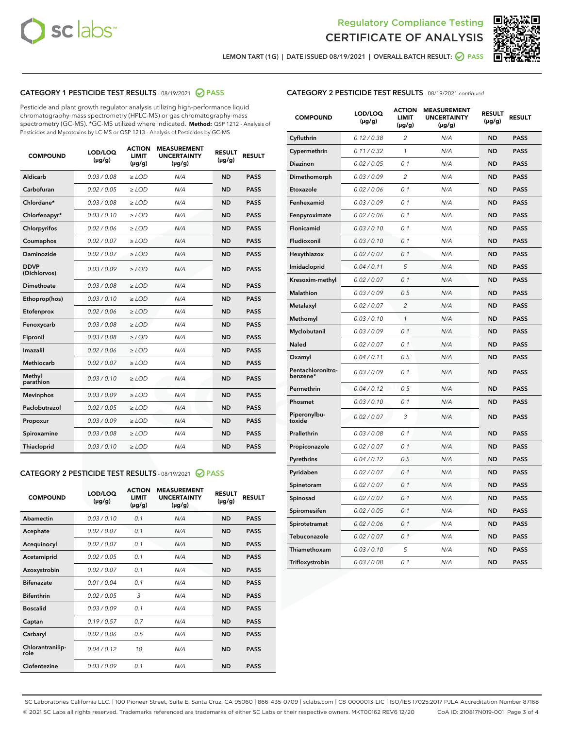



LEMON TART (1G) | DATE ISSUED 08/19/2021 | OVERALL BATCH RESULT:  $\bigcirc$  PASS

# CATEGORY 1 PESTICIDE TEST RESULTS - 08/19/2021 2 PASS

Pesticide and plant growth regulator analysis utilizing high-performance liquid chromatography-mass spectrometry (HPLC-MS) or gas chromatography-mass spectrometry (GC-MS). \*GC-MS utilized where indicated. **Method:** QSP 1212 - Analysis of Pesticides and Mycotoxins by LC-MS or QSP 1213 - Analysis of Pesticides by GC-MS

| <b>COMPOUND</b>             | LOD/LOQ<br>$(\mu g/g)$ | <b>ACTION</b><br><b>LIMIT</b><br>$(\mu g/g)$ | <b>MEASUREMENT</b><br><b>UNCERTAINTY</b><br>$(\mu g/g)$ | <b>RESULT</b><br>$(\mu g/g)$ | <b>RESULT</b> |
|-----------------------------|------------------------|----------------------------------------------|---------------------------------------------------------|------------------------------|---------------|
| Aldicarb                    | 0.03/0.08              | $>$ LOD                                      | N/A                                                     | <b>ND</b>                    | <b>PASS</b>   |
| Carbofuran                  | 0.02 / 0.05            | $\geq$ LOD                                   | N/A                                                     | <b>ND</b>                    | <b>PASS</b>   |
| Chlordane*                  | 0.03/0.08              | $>$ LOD                                      | N/A                                                     | <b>ND</b>                    | <b>PASS</b>   |
| Chlorfenapyr*               | 0.03/0.10              | $\geq$ LOD                                   | N/A                                                     | <b>ND</b>                    | <b>PASS</b>   |
| Chlorpyrifos                | 0.02 / 0.06            | $\geq$ LOD                                   | N/A                                                     | <b>ND</b>                    | <b>PASS</b>   |
| Coumaphos                   | 0.02 / 0.07            | $\ge$ LOD                                    | N/A                                                     | <b>ND</b>                    | <b>PASS</b>   |
| Daminozide                  | 0.02 / 0.07            | $\ge$ LOD                                    | N/A                                                     | <b>ND</b>                    | <b>PASS</b>   |
| <b>DDVP</b><br>(Dichlorvos) | 0.03/0.09              | $\ge$ LOD                                    | N/A                                                     | <b>ND</b>                    | <b>PASS</b>   |
| <b>Dimethoate</b>           | 0.03/0.08              | $\ge$ LOD                                    | N/A                                                     | <b>ND</b>                    | <b>PASS</b>   |
| Ethoprop(hos)               | 0.03/0.10              | $\ge$ LOD                                    | N/A                                                     | <b>ND</b>                    | <b>PASS</b>   |
| Etofenprox                  | 0.02 / 0.06            | $\ge$ LOD                                    | N/A                                                     | <b>ND</b>                    | <b>PASS</b>   |
| Fenoxycarb                  | 0.03/0.08              | $\ge$ LOD                                    | N/A                                                     | <b>ND</b>                    | <b>PASS</b>   |
| Fipronil                    | 0.03/0.08              | $>$ LOD                                      | N/A                                                     | <b>ND</b>                    | <b>PASS</b>   |
| Imazalil                    | 0.02 / 0.06            | $>$ LOD                                      | N/A                                                     | <b>ND</b>                    | <b>PASS</b>   |
| Methiocarb                  | 0.02 / 0.07            | $\ge$ LOD                                    | N/A                                                     | <b>ND</b>                    | <b>PASS</b>   |
| Methyl<br>parathion         | 0.03/0.10              | $\ge$ LOD                                    | N/A                                                     | <b>ND</b>                    | <b>PASS</b>   |
| <b>Mevinphos</b>            | 0.03/0.09              | $\ge$ LOD                                    | N/A                                                     | <b>ND</b>                    | <b>PASS</b>   |
| Paclobutrazol               | 0.02 / 0.05            | $>$ LOD                                      | N/A                                                     | <b>ND</b>                    | <b>PASS</b>   |
| Propoxur                    | 0.03/0.09              | $\ge$ LOD                                    | N/A                                                     | <b>ND</b>                    | <b>PASS</b>   |
| Spiroxamine                 | 0.03 / 0.08            | $\ge$ LOD                                    | N/A                                                     | <b>ND</b>                    | <b>PASS</b>   |
| Thiacloprid                 | 0.03/0.10              | $\ge$ LOD                                    | N/A                                                     | <b>ND</b>                    | <b>PASS</b>   |

#### CATEGORY 2 PESTICIDE TEST RESULTS - 08/19/2021 @ PASS

| <b>COMPOUND</b>          | LOD/LOQ<br>$(\mu g/g)$ | <b>ACTION</b><br><b>LIMIT</b><br>$(\mu g/g)$ | <b>MEASUREMENT</b><br><b>UNCERTAINTY</b><br>$(\mu g/g)$ | <b>RESULT</b><br>$(\mu g/g)$ | <b>RESULT</b> |
|--------------------------|------------------------|----------------------------------------------|---------------------------------------------------------|------------------------------|---------------|
| Abamectin                | 0.03/0.10              | 0.1                                          | N/A                                                     | <b>ND</b>                    | <b>PASS</b>   |
| Acephate                 | 0.02/0.07              | 0.1                                          | N/A                                                     | <b>ND</b>                    | <b>PASS</b>   |
| Acequinocyl              | 0.02/0.07              | 0.1                                          | N/A                                                     | <b>ND</b>                    | <b>PASS</b>   |
| Acetamiprid              | 0.02/0.05              | 0.1                                          | N/A                                                     | <b>ND</b>                    | <b>PASS</b>   |
| Azoxystrobin             | 0.02/0.07              | 0.1                                          | N/A                                                     | <b>ND</b>                    | <b>PASS</b>   |
| <b>Bifenazate</b>        | 0.01/0.04              | 0.1                                          | N/A                                                     | <b>ND</b>                    | <b>PASS</b>   |
| <b>Bifenthrin</b>        | 0.02 / 0.05            | 3                                            | N/A                                                     | <b>ND</b>                    | <b>PASS</b>   |
| <b>Boscalid</b>          | 0.03/0.09              | 0.1                                          | N/A                                                     | <b>ND</b>                    | <b>PASS</b>   |
| Captan                   | 0.19/0.57              | 0.7                                          | N/A                                                     | <b>ND</b>                    | <b>PASS</b>   |
| Carbaryl                 | 0.02/0.06              | 0.5                                          | N/A                                                     | <b>ND</b>                    | <b>PASS</b>   |
| Chlorantranilip-<br>role | 0.04/0.12              | 10                                           | N/A                                                     | <b>ND</b>                    | <b>PASS</b>   |
| Clofentezine             | 0.03/0.09              | 0.1                                          | N/A                                                     | <b>ND</b>                    | <b>PASS</b>   |

| <b>CATEGORY 2 PESTICIDE TEST RESULTS</b> - 08/19/2021 continued |
|-----------------------------------------------------------------|
|-----------------------------------------------------------------|

| <b>COMPOUND</b>               | LOD/LOQ<br>(µg/g) | <b>ACTION</b><br><b>LIMIT</b><br>$(\mu g/g)$ | <b>MEASUREMENT</b><br><b>UNCERTAINTY</b><br>$(\mu g/g)$ | <b>RESULT</b><br>(µg/g) | <b>RESULT</b> |
|-------------------------------|-------------------|----------------------------------------------|---------------------------------------------------------|-------------------------|---------------|
| Cyfluthrin                    | 0.12 / 0.38       | 2                                            | N/A                                                     | ND                      | <b>PASS</b>   |
| Cypermethrin                  | 0.11 / 0.32       | 1                                            | N/A                                                     | ND                      | <b>PASS</b>   |
| Diazinon                      | 0.02 / 0.05       | 0.1                                          | N/A                                                     | <b>ND</b>               | <b>PASS</b>   |
| Dimethomorph                  | 0.03 / 0.09       | 2                                            | N/A                                                     | ND                      | PASS          |
| Etoxazole                     | 0.02 / 0.06       | 0.1                                          | N/A                                                     | <b>ND</b>               | <b>PASS</b>   |
| Fenhexamid                    | 0.03 / 0.09       | 0.1                                          | N/A                                                     | <b>ND</b>               | <b>PASS</b>   |
| Fenpyroximate                 | 0.02 / 0.06       | 0.1                                          | N/A                                                     | ND                      | <b>PASS</b>   |
| Flonicamid                    | 0.03 / 0.10       | 0.1                                          | N/A                                                     | <b>ND</b>               | <b>PASS</b>   |
| Fludioxonil                   | 0.03 / 0.10       | 0.1                                          | N/A                                                     | <b>ND</b>               | <b>PASS</b>   |
| Hexythiazox                   | 0.02 / 0.07       | 0.1                                          | N/A                                                     | <b>ND</b>               | <b>PASS</b>   |
| Imidacloprid                  | 0.04 / 0.11       | 5                                            | N/A                                                     | <b>ND</b>               | <b>PASS</b>   |
| Kresoxim-methyl               | 0.02 / 0.07       | 0.1                                          | N/A                                                     | ND                      | <b>PASS</b>   |
| Malathion                     | 0.03 / 0.09       | 0.5                                          | N/A                                                     | ND                      | <b>PASS</b>   |
| Metalaxyl                     | 0.02 / 0.07       | $\overline{2}$                               | N/A                                                     | <b>ND</b>               | <b>PASS</b>   |
| Methomyl                      | 0.03 / 0.10       | 1                                            | N/A                                                     | ND                      | <b>PASS</b>   |
| Myclobutanil                  | 0.03 / 0.09       | 0.1                                          | N/A                                                     | ND                      | <b>PASS</b>   |
| Naled                         | 0.02 / 0.07       | 0.1                                          | N/A                                                     | <b>ND</b>               | <b>PASS</b>   |
| Oxamyl                        | 0.04 / 0.11       | 0.5                                          | N/A                                                     | ND                      | <b>PASS</b>   |
| Pentachloronitro-<br>benzene* | 0.03/0.09         | 0.1                                          | N/A                                                     | ND                      | <b>PASS</b>   |
| Permethrin                    | 0.04/0.12         | 0.5                                          | N/A                                                     | ND                      | <b>PASS</b>   |
| Phosmet                       | 0.03 / 0.10       | 0.1                                          | N/A                                                     | <b>ND</b>               | <b>PASS</b>   |
| Piperonylbu-<br>toxide        | 0.02 / 0.07       | 3                                            | N/A                                                     | <b>ND</b>               | <b>PASS</b>   |
| Prallethrin                   | 0.03 / 0.08       | 0.1                                          | N/A                                                     | ND                      | <b>PASS</b>   |
| Propiconazole                 | 0.02 / 0.07       | 0.1                                          | N/A                                                     | <b>ND</b>               | <b>PASS</b>   |
| Pyrethrins                    | 0.04 / 0.12       | 0.5                                          | N/A                                                     | ND                      | PASS          |
| Pyridaben                     | 0.02 / 0.07       | 0.1                                          | N/A                                                     | <b>ND</b>               | <b>PASS</b>   |
| Spinetoram                    | 0.02 / 0.07       | 0.1                                          | N/A                                                     | ND                      | PASS          |
| Spinosad                      | 0.02 / 0.07       | 0.1                                          | N/A                                                     | ND                      | PASS          |
| Spiromesifen                  | 0.02 / 0.05       | 0.1                                          | N/A                                                     | ND                      | <b>PASS</b>   |
| Spirotetramat                 | 0.02 / 0.06       | 0.1                                          | N/A                                                     | ND                      | PASS          |
| Tebuconazole                  | 0.02 / 0.07       | 0.1                                          | N/A                                                     | ND                      | <b>PASS</b>   |
| Thiamethoxam                  | 0.03 / 0.10       | 5                                            | N/A                                                     | ND                      | <b>PASS</b>   |
| Trifloxystrobin               | 0.03 / 0.08       | 0.1                                          | N/A                                                     | <b>ND</b>               | <b>PASS</b>   |

SC Laboratories California LLC. | 100 Pioneer Street, Suite E, Santa Cruz, CA 95060 | 866-435-0709 | sclabs.com | C8-0000013-LIC | ISO/IES 17025:2017 PJLA Accreditation Number 87168 © 2021 SC Labs all rights reserved. Trademarks referenced are trademarks of either SC Labs or their respective owners. MKT00162 REV6 12/20 CoA ID: 210817N019-001 Page 3 of 4